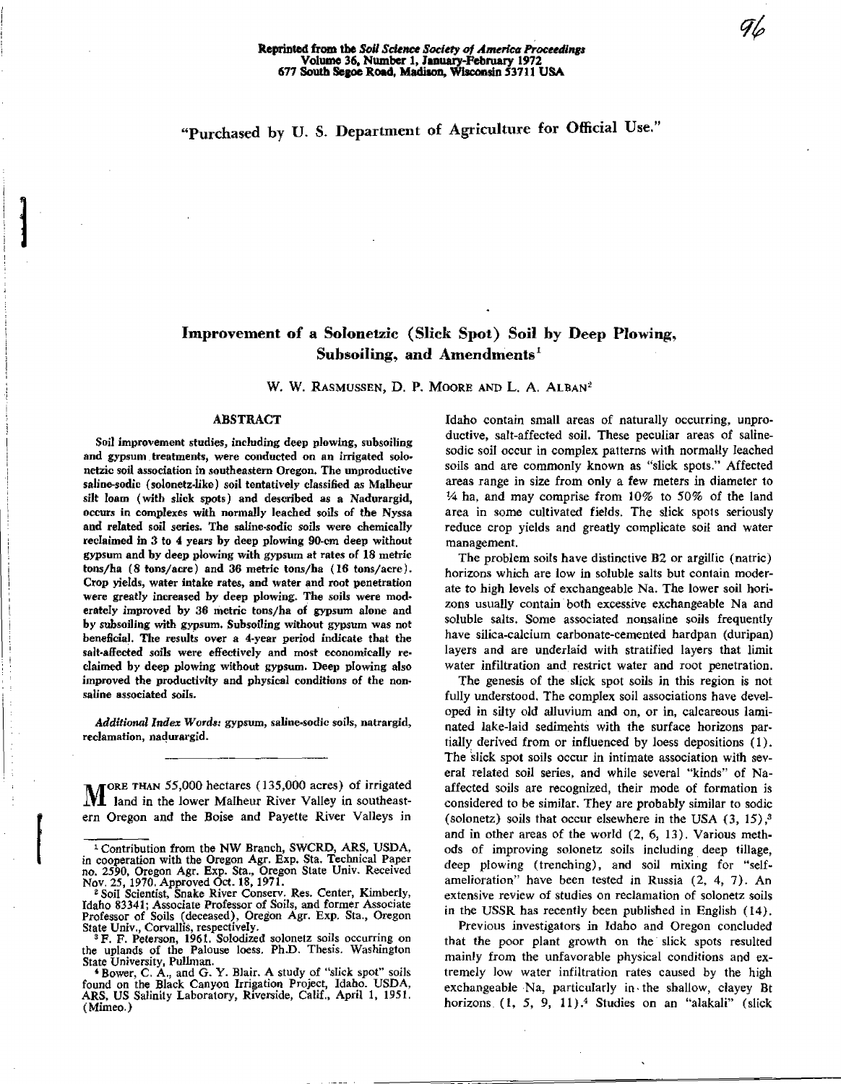# "Purchased by U. S. Department of Agriculture for Official Use."

# Improvement of a Solonetzic (Slick Spot) Soil by **Deep** Plowing, Subsoiling, *and* Amendments'

W. W. RASMUSSEN, D. P. MOORE AND L. A. ALBAN<sup>2</sup>

#### **ABSTRACT**

Soil improvement studies, including deep plowing, subsoiling and gypsum treatments, were conducted on an irrigated solonetzic soil association in southeastern Oregon. The unproductive saline-sodic (solonetz-like) soil tentatively classified *as* Malheur *silt* loam ( with slick spots ) and described as a Nadurargid, occurs in complexes with normally leached soils of the Nyssa and related soil series. The saline-sodic soils were chemically reclaimed in 3 to 4 years by deep plowing 90-cm deep without gypsum and by deep plowing with gypsum at rates of 18 metric tons/ha (8 tons/acre ) and 36 metric tons/ha (16 tons/acre). Crop yields, water intake rates, and water and root penetration were greatly increased by deep plowing. The soils were moderately improved by 36 metric tons/ha of gypsum alone and by subsoiling with gypsum. Subsoiling without gypsum was not beneficial. The results over a 4-year period indicate that the salt-affected soils were effectively and most economically reclaimed by deep plowing without gypsum. Deep plowing also improved the productivity and physical conditions of the nonsaline associated soils.

*Additional Index* Words: gypsum, saline-sodic soils, natrargid, reclamation, nadurargid.

M land in the lower Malheur River Valley in southeast-[ORE THAN 55,000 hectares (135,000 acres) of irrigated ern Oregon and the Boise and Payette River Valleys in

<sup>3</sup>F. F. Peterson, 1961. Solodized solonetz soils occurring on the uplands of the Palouse loess. Ph.D. Thesis. Washington State University, Pullman.

4 Bower, C. A., and G. Y. Blair. A study of "slick spot" soils found on the Black Canyon Irrigation Project, Idaho. USDA, ARS, US Salinity Laboratory, Riverside, Calif., April 1, 1951. (Mimeo.)

Idaho contain small areas of naturally occurring, unproductive, salt-affected soil. These peculiar areas of salinesodic soil occur in complex patterns with normally leached soils and are commonly known as "slick spots." Affected areas range in size from only a few meters in diameter to  $\frac{1}{4}$  ha, and may comprise from  $10\%$  to 50% of the land area in some cultivated fields. The slick spots seriously reduce crop yields and greatly complicate soil and water management.

The problem soils have distinctive B2 or argillic (natric) horizons which are low in soluble salts but contain moderate to high levels of exchangeable Na. The lower soil horizons usually contain both excessive exchangeable Na and soluble salts. Some associated nonsaline soils frequently have silica-calcium carbonate-cemented hardpan (duripan) layers and are underlaid with stratified layers that limit water infiltration and restrict water and root penetration.

The genesis of the slick spot soils in this region is not fully understood. The complex soil associations have developed in silty old alluvium and on, or in, calcareous laminated lake-laid sediments with the surface horizons partially derived from or influenced by loess depositions (1). The slick spot soils occur in intimate association with several related soil series, and while several "kinds" of Naaffected soils are recognized, their mode of formation is considered to be similar. They are probably similar to sodic (solonetz) soils that occur elsewhere in the USA  $(3, 15)$ ,<sup>3</sup> and in other areas of the world (2, 6, 13). Various methods of improving solonetz soils including deep tillage, deep plowing (trenching), and soil mixing for "selfamelioration" have been tested in Russia (2, 4, 7). An extensive review of studies on reclamation of solonetz soils in the USSR has recently been published in English (14).

Previous investigators in Idaho and Oregon concluded that the poor plant growth on the slick spots resulted mainly from the unfavorable physical conditions and extremely low water infiltration rates caused by the high exchangeable Na, particularly in, the shallow, clayey Bt horizons (1, 5, 9, 11).<sup>4</sup> Studies on an "alakali" (slick

<sup>&</sup>lt;sup>1</sup> Contribution from the NW Branch, SWCRD, ARS, USDA, in cooperation with the Oregon Agr. Exp. Sta. Technical Paper no. 2590, Oregon Agr. Exp. Sta., Oregon State Univ. Received Nov. 25, 1970. Approved Oct. 18, 1971.

<sup>&</sup>lt;sup>2</sup> Soil Scientist, Snake River Conserv. Res. Center, Kimberly, Idaho 83341; Associate Professor of Soils, and former Associate Professor of Soils (deceased), Oregon Agr. Exp, Sta., Oregon State Univ., Corvallis, respectively.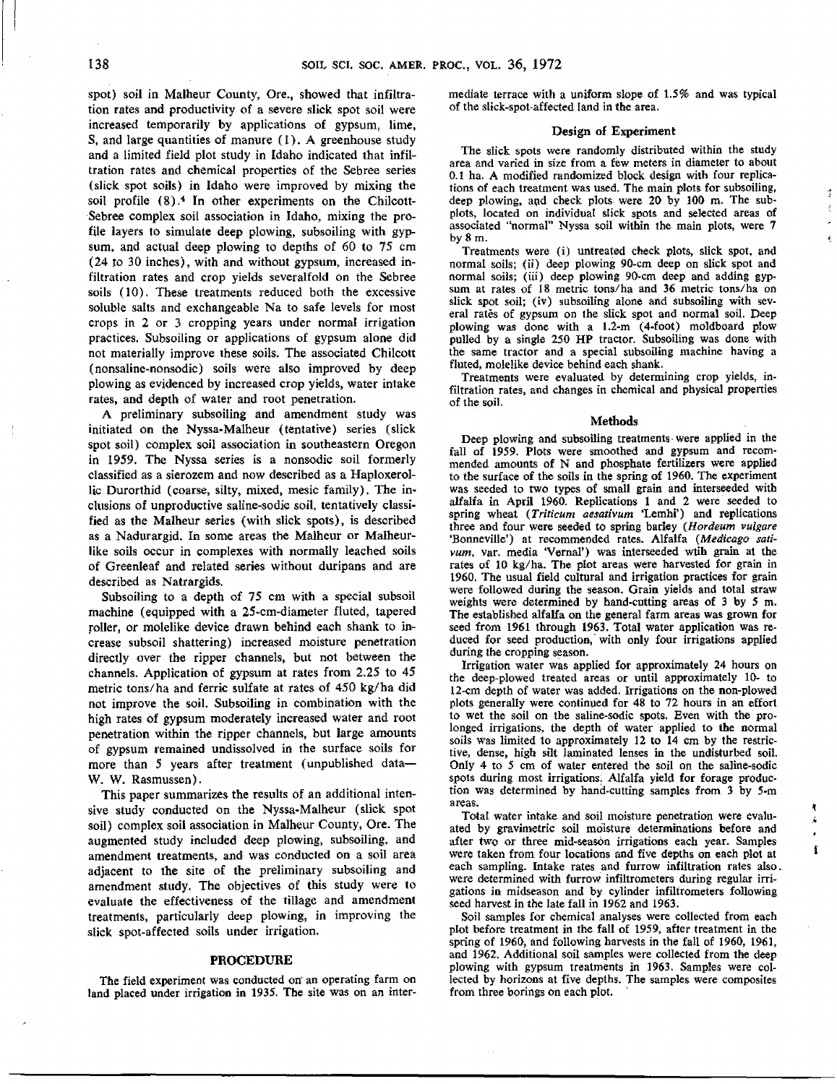spot) soil in Malheur County, Ore., showed that infiltration rates and productivity of a severe slick spot soil were increased temporarily by applications of gypsum, lime, S, and large quantities of manure (1). A greenhouse study and a limited field plot study in Idaho indicated that infiltration rates and chemical properties of the Sebree series (slick spot soils) in Idaho were improved by mixing the soil profile (8).<sup>4</sup> In other experiments on the Chilcott-Sebree complex soil association in Idaho, mixing the profile layers to simulate deep plowing, subsoiling with gypsum, and actual deep plowing to depths of 60 to 75 cm (24 to 30 inches), with and without gypsum, increased infiltration rates and crop yields severalfold on the Sebree soils (10). These treatments reduced both the excessive soluble salts and exchangeable Na to safe levels for most crops in 2 or 3 cropping years under normal irrigation practices. Subsoiling or applications of gypsum alone did not materially improve these soils. The associated Chilcott (nonsaline-nonsodic) soils were also improved by deep plowing as evidenced by increased crop yields, water intake rates, and depth of water and root penetration.

A preliminary subsoiling and amendment study was initiated on the Nyssa-Malheur (tentative) series (slick spot soil) complex soil association in southeastern Oregon in 1959. The Nyssa series is a nonsodic soil formerly classified as a sierozem and now described as a Haploxerollic Durorthid (coarse, silty, mixed, mesic family). The inclusions of unproductive saline-sodic soil, tentatively classified as the Malheur series (with slick spots), is described as a Nadurargid. In some areas the Malheur or Malheurlike soils occur in complexes with normally leached soils of Greenleaf and related series without duripans and are described as Natrargids.

Subsoiling to a depth of 75 cm with a special subsoil machine (equipped with a 25-cm-diameter fluted, tapered roller, or molelike device drawn behind each shank to increase subsoil shattering) increased moisture penetration directly over the ripper channels, but not between the channels. Application of gypsum at rates from 2.25 to 45 metric tons/ha and ferric sulfate at rates of 450 kg/ha did not improve the soil. Subsoiling in combination with the high rates of gypsum moderately increased water and root penetration within the ripper channels, but large amounts of gypsum remained undissolved in the surface soils for more than 5 years after treatment (unpublished data— W. W. Rasmussen).

This paper summarizes the results of an additional intensive study conducted on the Nyssa-Malheur (slick spot soil) complex soil association in Malheur County, Ore. The augmented study included deep plowing, subsoiling, and amendment treatments, and was conducted on a soil area adjacent to the site of the preliminary subsoiling and amendment study. The objectives of this study were to evaluate the effectiveness of the tillage and amendment treatments, particularly deep plowing, in improving the slick spot-affected soils under irrigation.

#### **PROCEDURE**

The field experiment was conducted on an operating farm on land placed under irrigation **in** 1935. The site was on an intermediate terrace with a uniform slope of 1.5% and was typical of the slick-spot-affected land in the area.

#### **Design of Experiment**

The slick spots were randomly distributed within the study area and varied in size from a few meters in diameter to about 0.1 ha. A modified randomized block design with four replications of each treatment was used. The main plots for subsoiling, deep plowing, and check plots were 20 by 100 m. The subplots, located on individual slick spots and selected areas of associated "normal" Nyssa soil within the main plots, were 7 by 8 m.

 $\ddot{z}$ 

Treatments were (i) untreated check plots, slick spot, and normal soils; (ii) deep plowing 90-cm deep on slick spot and normal soils; (iii) deep plowing 90-cm deep and adding gypsum at rates of 18 metric tons/ha and 36 metric tons/ha on slick spot soil; (iv) subsoiling alone and subsoiling with several rates of gypsum on the slick spot and normal soil. Deep plowing was done with a 1.2-m (4-foot) moldboard plow pulled by a single 250 HP tractor. Subsoiling was done with the same tractor and a special subsoiling machine having a fluted, molelike device behind each shank.

Treatments were evaluated by determining crop yields, infiltration rates, and changes in chemical and physical properties of the soil.

#### Methods

Deep plowing and subsoiling treatments were applied in the fall of 1959. Plots were smoothed and gypsum and recommended amounts of N and phosphate fertilizers were applied to the surface of the soils in the spring of 1960. The experiment was seeded to two types of small grain and interseeded with alfalfa in April 1960. Replications 1 and 2 were seeded to spring wheat *(Triticum aesativum* 'Lemhi') and replications three and four were seeded to spring barley *(Hordeum vulgare* `Bonneville') at recommended rates. Alfalfa *(Medicago sativum,* var. media `Vernal') was interseeded wtih grain at the rates of 10 kg/ha. The plot areas were harvested for grain in 1960. The usual field cultural and irrigation practices for grain were followed during the season. Grain yields and total straw weights were determined by hand-cutting areas of 3 by 5 m. The established alfalfa on the general farm areas was grown for seed from 1961 through 1963. Total water application was reduced for seed production, with only four irrigations applied during the cropping season.

Irrigation water was applied for approximately 24 hours on the deep-plowed treated areas or until approximately 10- to 12-cm depth of water was added. Irrigations on the non-plowed plots generally were continued for 48 to 72 hours in an effort to wet the soil on the saline-sodic spots. Even with the prolonged irrigations, the depth of water applied to the normal soils was limited to approximately 12 to 14 cm by the restrictive, dense, high silt laminated lenses in the undisturbed soil. Only 4 to 5 cm of water entered the soil on the saline-sodic spots during most irrigations. Alfalfa yield for forage production was determined by hand-cutting samples from 3 by 5-m areas.

Total water intake and soil moisture penetration were evaluated by gravimetric soil moisture determinations before and after two or three mid-season irrigations each year. Samples were taken from four locations and five depths on each plot at each sampling. Intake rates and furrow infiltration rates also. were determined with furrow infiltrometers during regular irrigations **in** midseason and by cylinder infiltrometers following seed harvest in the late fall in 1962 and 1963.

Soil samples for chemical analyses were collected from each plot before treatment in the fall of 1959, after treatment in the spring of 1960, and following harvests in the fall of 1960, 1961, and 1962. Additional soil samples were collected from the deep plowing with gypsum treatments in 1963. Samples were collected by horizons at five depths. The samples were composites from three borings on each plot.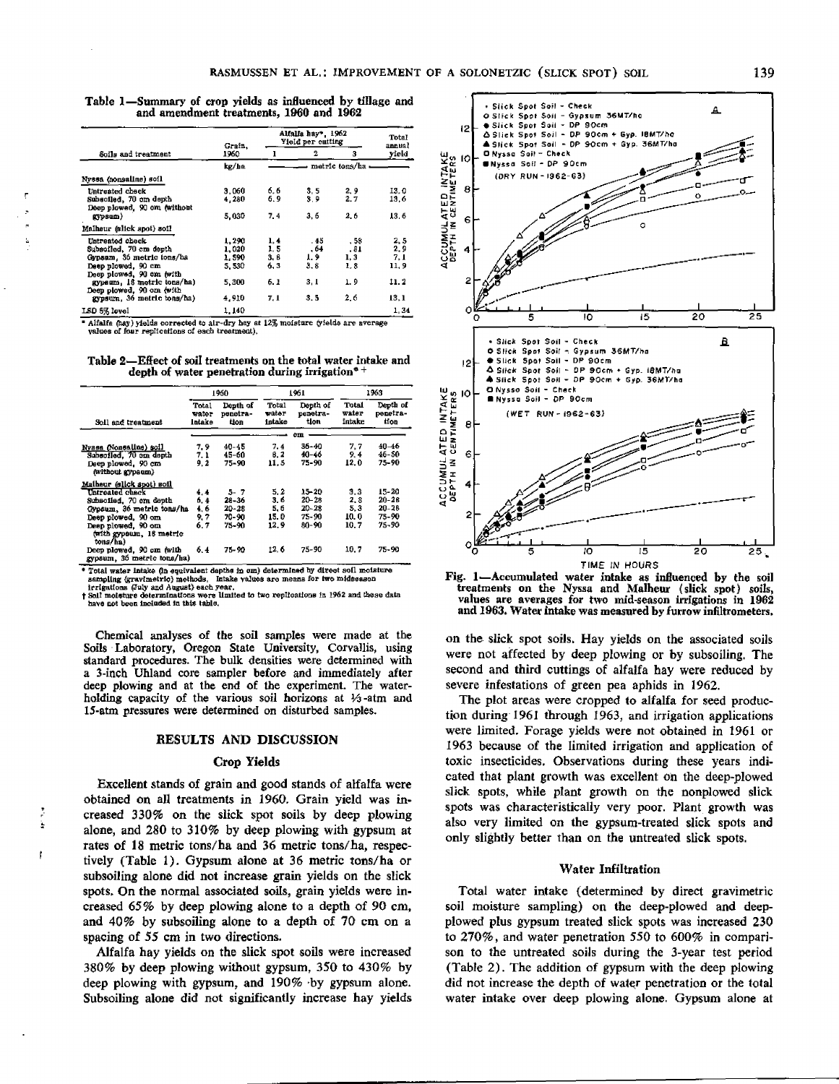|                                                        | Grain.<br>1960. | Alfalfa hay", 1962<br>Yield per cutting | Total<br>annual |     |       |  |
|--------------------------------------------------------|-----------------|-----------------------------------------|-----------------|-----|-------|--|
| Soils and treatment                                    |                 |                                         | 2               | з   | yield |  |
|                                                        | kg/ha           | – metric tons/ha                        |                 |     |       |  |
| Nyssa (nonsaline) soil                                 |                 |                                         |                 |     |       |  |
| Untreated check                                        | 3.060           | 6.6                                     | 3.5             | 2.9 | 13. O |  |
| Subsciled, 70 cm depth<br>Deep plowed, 90 cm (without  | 4.280           | 6.9                                     | 3.9             | 2.7 | 13.6  |  |
| gypsum)                                                | 5.030           | 7.4                                     | 3.6             | 2.6 | 13.6  |  |
| Malheur (slick spot) soil                              |                 |                                         |                 |     |       |  |
| Untreated check                                        | 1,290           | 1.4                                     | . 45            | .58 | 2, 5  |  |
| Subsoiled, 70 cm depth                                 | 1.020           | 1.5                                     | . 64            | .81 | 2.9   |  |
| Gypsum, 36 metric tons/ha                              | 1.590           | 3. B                                    | 1.9             | 1.3 | 7, 1  |  |
| Deep plowed, 90 cm<br>Deep plowed, 90 cm (with         | 5,530           | 6.3                                     | 3.8             | 1.3 | 11. 9 |  |
| gypsum, 18 metric tons/ha)<br>Deep plowed, 90 cm (with | 5,300           | 6.1                                     | 3. 1            | 1.9 | 11.2  |  |
| gyasum. 36 metric tons/ha)                             | 4,910           | 7. 1                                    | 3.5             | 2.6 | 13,1  |  |
| LSD 5% level                                           | 1.140           |                                         |                 |     | 1.34  |  |

**Table 1—Summary of crop yields as influenced** by **tillage and** and amendment treatments, 1960 and 1962

• Alfalfa (hay) yields corrected to air-dry hay at 12% moisture (yields are average values of four replications of each treatment),

**Table 2—Effect** of soil treatments on the total water intake and **depth of water penetration during irrigation e+**

|                                                                                            | 1960                     |                              | 1961                     |                              | 1963                     |                              |  |  |
|--------------------------------------------------------------------------------------------|--------------------------|------------------------------|--------------------------|------------------------------|--------------------------|------------------------------|--|--|
| Soll and treatment                                                                         | Total<br>water<br>Intake | Denth of<br>penetra-<br>tion | Total<br>water<br>intake | Depth of<br>penetra-<br>tion | Total<br>water<br>intake | Depth of<br>penetra-<br>tion |  |  |
|                                                                                            |                          |                              | άm                       |                              |                          |                              |  |  |
| Nyssa (Nonsaline) soil<br>Subsciled. 70 cm depth<br>Deep plowed, 90 cm<br>(without gypsum) | 7.9<br>7. 1<br>9.2       | 40-45<br>45-60<br>75-90      | 7.4<br>8.2<br>11.5       | 36-40<br>40-46<br>75-90      | 7.7<br>9.4<br>12.0       | $40 - 46$<br>46-SO<br>75-90  |  |  |
| Malheur (slick spot) soil                                                                  |                          |                              |                          |                              |                          |                              |  |  |
| Untreated check                                                                            | 4.4                      | 5-7                          | 5.2                      | 15-20                        | 3.3                      | 15-20                        |  |  |
| Subsciled. 70 cm depth                                                                     | 6.4                      | $28 - 36$                    | 3,6                      | $20 - 28$                    | 2.8                      | $20 - 28$                    |  |  |
| Gypsum, 36 metric tons/ha                                                                  | 4.6                      | $20 - 28$                    | 5.6                      | 20–28                        | 5.3                      | $20 - 28$                    |  |  |
| Deep plowed, 90 cm                                                                         | 9.7                      | 70-90                        | 15.0                     | $75 - 90$                    | 10.0                     | 75-90                        |  |  |
| Deep plowed. 90 cm<br>(with gypsum, 18 metric<br>tons/ha)                                  | 6.7                      | 75-90                        | 12.9                     | $80 - 90$                    | 10.7                     | 75-90                        |  |  |
| Deep plowed, 90 om fwith<br>gypsum, 36 metric tons/ha)                                     | 6.4                      | 75-90                        | 12.6                     | 75-90                        | 10.7                     | 75-90                        |  |  |

• Total water intake (in equivalent depths in om) determined by direct soil moisture<br>sampling (gravimetric) methods, Intake values are means for two midseason<br>irrigations (fuly and August) each year.<br> $\frac{1}{1}$  Soil moistu

Chemical analyses of the soil samples were made at the Soils Laboratory, Oregon State University, Corvallis, using standard procedures. The bulk densities were determined with a 3-inch Uhland core sampler before and immediately after deep plowing and at the end of the experiment. The waterholding capacity of the various soil horizons at  $1/3$ -atm and 15-atm pressures were determined on disturbed samples.

#### **RESULTS AND DISCUSSION**

#### **Crop Yields**

Excellent stands of grain and good stands of alfalfa were obtained on all treatments in 1960. Grain yield was increased 330% on the slick spot soils by deep plowing alone, and 280 to 310% by deep plowing with gypsum at rates of 18 metric tons/ha and 36 metric tons/ha, respectively (Table 1). Gypsum alone at 36 metric tons/ha or subsoiling alone did not increase grain yields on the slick spots. On the normal associated soils, grain yields were increased 65% by deep plowing alone to a depth of 90 cm, and 40% by subsoiling alone to a depth of 70 cm on a spacing of 55 cm in two directions.

Ä

 $\mathbf{f}$ 

Alfalfa hay yields on the slick spot soils were increased 380% by deep plowing without gypsum, 350 to 430% by deep plowing with gypsum, and 190% •by gypsum alone. Subsoiling alone *did* not significantly increase hay yields



Fig. 1—Accumulated water intake as influenced by the soil treatments on the Nyasa and Malheur ( slick spot) soils, values are averages for two mid-season irrigations in 1962 and 1963. Water intake was measured by furrow infiltrometers,

on the slick spot soils. Hay yields on the associated soils were not affected by deep plowing or by subsoiling. The second and third cuttings of alfalfa hay were reduced by severe infestations of green pea aphids in 1962.

The plot areas were cropped to alfalfa for seed production during 1961 through 1963, and irrigation applications were limited. Forage yields were not obtained in 1961 or 1963 because of the limited irrigation and application of toxic insecticides. Observations during these years indicated that plant growth was excellent on the deep-plowed slick spots, while plant growth on the nonplowed slick spots was characteristically very poor. Plant growth was also very limited on the gypsum-treated slick spots and only slightly better than on the untreated slick spots.

#### Water Infiltration

Total water intake (determined by direct gravimetric soil moisture sampling) on the deep-plowed and deepplowed plus gypsum treated slick spots was increased 230 to 270%, and water penetration 550 to 600% in comparison to the untreated soils during the 3-year test period (Table 2). The addition of gypsum with the deep plowing did not increase the depth of water penetration or the total water intake over deep plowing alone. Gypsum alone at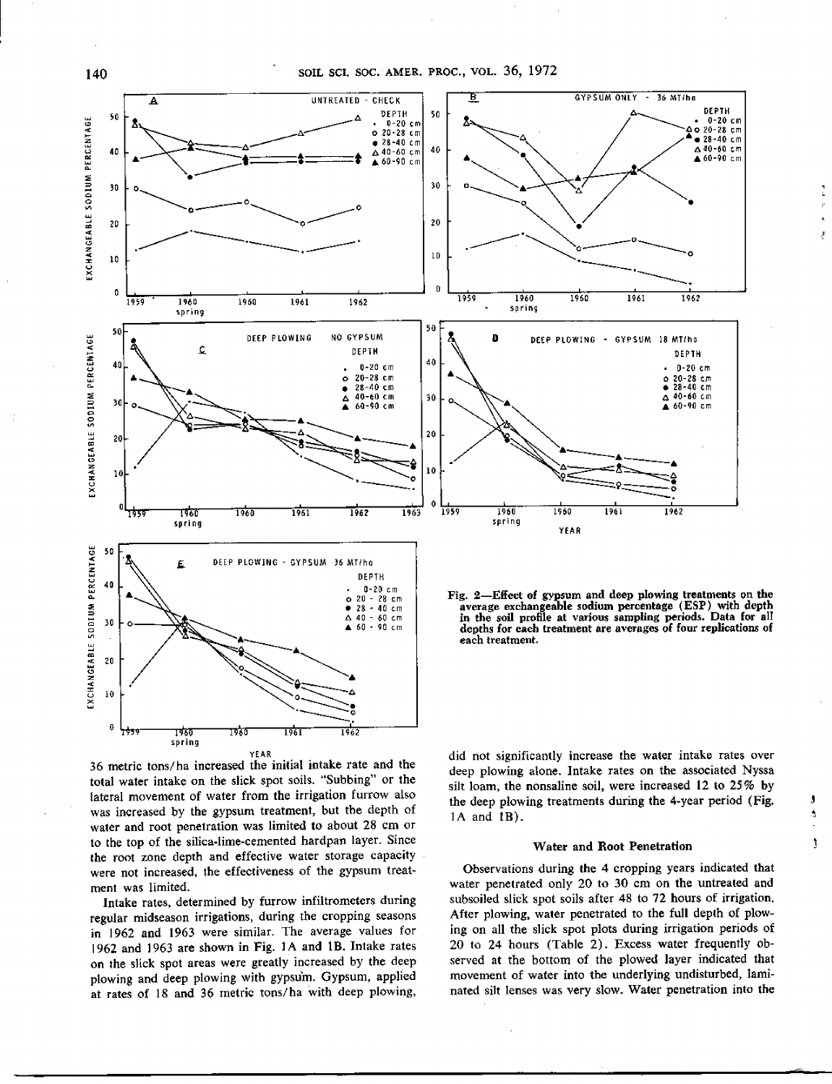

YEAR 36 metric tons/ha increased the initial intake rate and the total water intake on the slick spot soils. "Subbing" or the lateral movement of water from the irrigation furrow also was increased by the gypsum treatment, but the depth of water and root penetration was limited to about 28 cm or to the top of the silica-lime-cemented hardpan layer. Since the root zone depth and effective water storage capacity were not increased, the effectiveness of the gypsum treatment was limited.

Intake rates, determined by furrow infiltrometers during regular midseason irrigations, during the cropping seasons in 1962 and 1963 were similar. The average values for 1962 and 1963 are shown in Fig. 1A and 1B. Intake rates on the slick spot areas were greatly increased by the deep plowing and deep plowing with gypsum. Gypsum, applied at rates of 18 and 36 metric tons/ha with deep plowing,

did not significantly increase the water intake rates over deep plowing atone. Intake rates on the associated Nyssa silt loam, the nonsaline soil, were increased 12 to 25% by the deep plowing treatments during the 4-year period (Fig. IA and LB).

 $\frac{1}{k}$  $\hat{\rho}$ 

 $\hat{\gamma}$ 

j.

# **Water and Root Penetration**

Observations during the 4 cropping years indicated that water penetrated only 20 to 30 cm on the untreated and subsoiled slick spot soils after 48 to 72 hours of irrigation. After plowing, water penetrated to the full depth of plowing on all the slick spot plots during irrigation periods of 20 to 24 hours (Table 2). Excess water frequently observed at the bottom of the plowed layer indicated that movement of water into the underlying undisturbed, laminated silt lenses was very slow. Water penetration into the

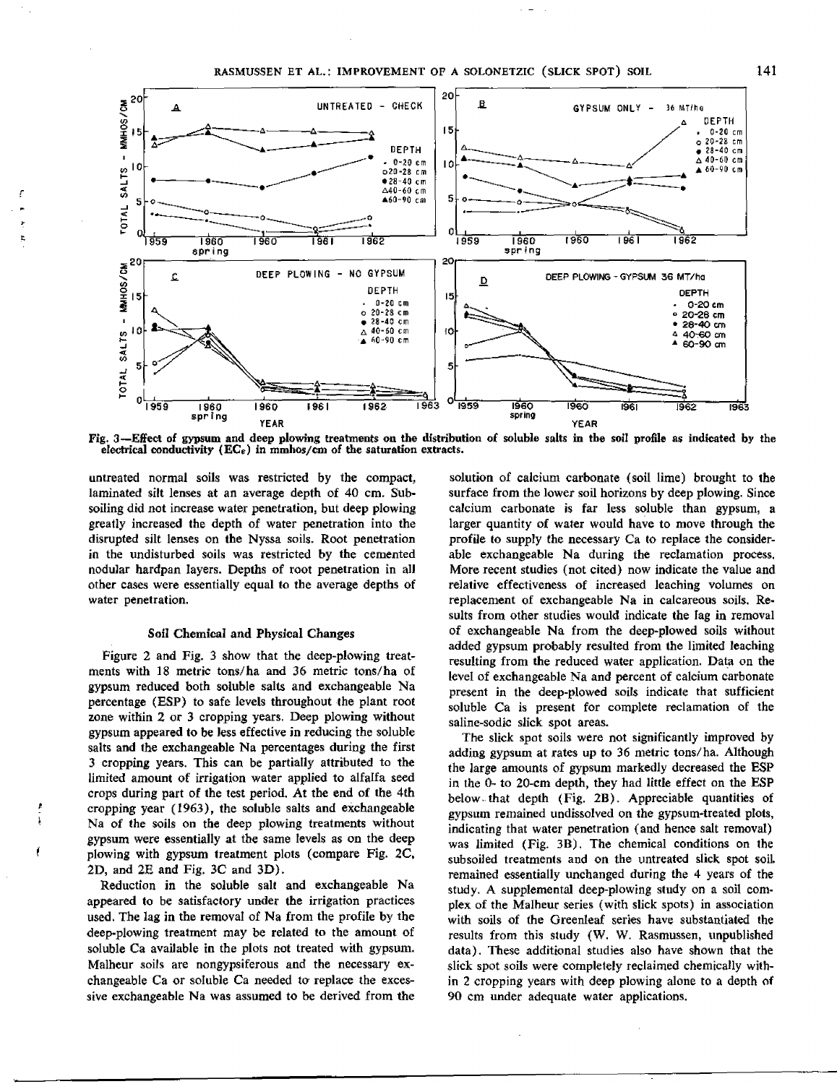

**Fig. 3—Effect of gypsum and deep plowing treatments on the distribution of soluble salts in the soil profile as indicated by the electrical conductivity (ECe) in mmhos/cm of the saturation extracts.**

untreated normal soils was restricted by the compact, laminated silt lenses at an average depth of 40 cm. Subsoiling did not increase water penetration, but deep plowing greatly increased the depth of water penetration into the disrupted silt lenses on the Nyssa soils. Root penetration *in* the undisturbed soils was restricted by the cemented nodular hardpan layers. Depths of root penetration in all other cases were essentially equal to the average depths of water penetration.

ţ,

# Soil Chemical and Physical Changes

Figure 2 and Fig. 3 show that the deep-plowing treatments with 18 metric tons/ha and 36 metric tons/ha of gypsum reduced both soluble salts and exchangeable Na percentage (ESP) to safe levels throughout the plant root zone within 2 or 3 cropping years. Deep plowing without gypsum appeared to be less effective in reducing the soluble salts and the exchangeable Na percentages during the first 3 cropping years. This can be partially attributed to the limited amount of irrigation water applied to alfalfa seed crops during part of the test period. At the end of the 4th cropping year (1963), the soluble salts and exchangeable Na of the soils on the deep plowing treatments without **gypsum were essentially at the** same levels as on the deep plowing with gypsum treatment plots (compare Fig. 2C, 2D, and 2E and Fig. 3C and 3D).

Reduction in the soluble salt and exchangeable Na appeared to be satisfactory under the irrigation practices used. The lag in the removal of Na from the profile by the deep-plowing treatment may be related to the amount of soluble Ca available in the plots not treated with gypsum. Malheur soils are nongypsiferous and the necessary exchangeable Ca or soluble Ca needed to replace the excessive exchangeable Na was assumed to be derived from the

solution of calcium carbonate (soil lime) brought to the surface from the lower soil horizons by deep plowing. Since calcium carbonate is far less soluble than gypsum, a larger quantity of water would have to move through the profile to supply the necessary Ca to replace the considerable exchangeable Na during the reclamation process. More recent studies (not cited) now indicate the value and relative effectiveness of increased leaching volumes on replacement of exchangeable Na in calcareous soils. Results from other studies would indicate the fag in removal of exchangeable Na from the deep-plowed soils without added gypsum probably resulted from the limited leaching resulting from the reduced water application. Data on the levet of exchangeable Na and percent of calcium carbonate present in the deep-plowed soils indicate that sufficient soluble Ca is present for complete reclamation of the saline-sodic slick spot areas.

The slick spot soils were not significantly improved by adding gypsum at rates up to 36 metric tons/ha. Although the large amounts of gypsum markedly decreased the ESP in the 0- to 20-cm depth, they had little effect on the ESP below- that depth (Fig. 2B). Appreciable quantities of gypsum remained undissolved on the gypsum-treated plots, indicating that water penetration (and hence salt removal) was limited (Fig. 3B). The chemical conditions on the subsoiled treatments and on the untreated slick spot soil. remained essentially unchanged during the 4 years of the study. A supplemental deep-plowing study on a soil complex of the Malheur series (with slick spots) in association with soils of the Greenleaf series have substantiated the results from this study (W. W, Rasmussen, unpublished data). These additional studies also have shown that the slick spot soils were completely reclaimed chemically within 2 cropping years with deep plowing alone to a depth of 90 cm under adequate water applications.